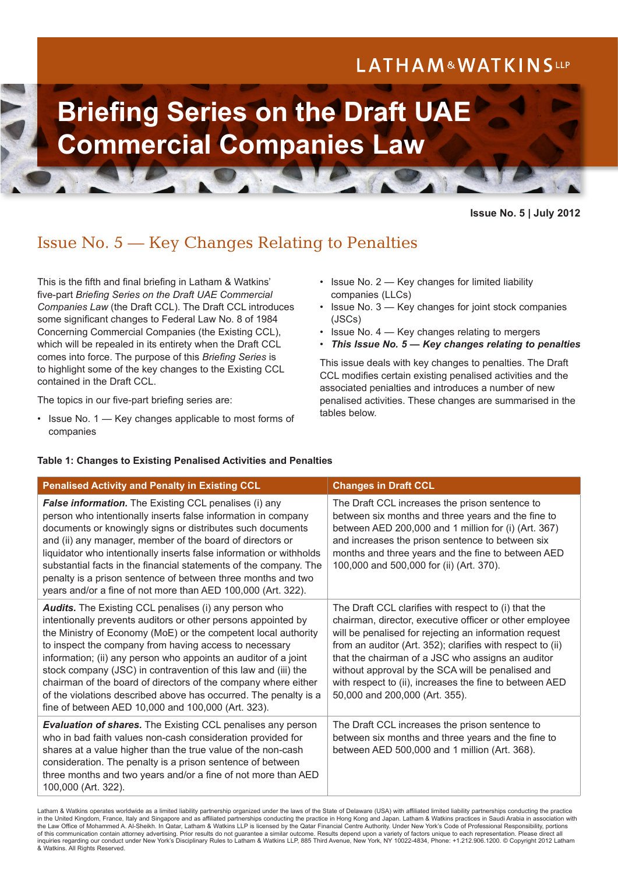## LATHAM&WATKINSLLP

# **Briefing Series on the Draft UAE Commercial Companies Law**

#### **Issue No. 5 | July 2012**

### Issue No. 5 — Key Changes Relating to Penalties

This is the fifth and final briefing in Latham & Watkins' five-part *Briefing Series on the Draft UAE Commercial Companies Law* (the Draft CCL). The Draft CCL introduces some significant changes to Federal Law No. 8 of 1984 Concerning Commercial Companies (the Existing CCL), which will be repealed in its entirety when the Draft CCL comes into force. The purpose of this *Briefing Series* is to highlight some of the key changes to the Existing CCL contained in the Draft CCL.

The topics in our five-part briefing series are:

• Issue No. 1 — Key changes applicable to most forms of companies

- Issue No. 2 Key changes for limited liability companies (LLCs)
- Issue No. 3 Key changes for joint stock companies (JSCs)
- Issue No. 4 Key changes relating to mergers
- *This Issue No. 5 Key changes relating to penalties*

This issue deals with key changes to penalties. The Draft CCL modifies certain existing penalised activities and the associated penialties and introduces a number of new penalised activities. These changes are summarised in the tables below.

#### **Table 1: Changes to Existing Penalised Activities and Penalties**

| <b>Penalised Activity and Penalty in Existing CCL</b>                                                                                                                                                                                                                                                                                                                                                                                                                                                                                                                                      | <b>Changes in Draft CCL</b>                                                                                                                                                                                                                                                                                                                                                                                                                    |
|--------------------------------------------------------------------------------------------------------------------------------------------------------------------------------------------------------------------------------------------------------------------------------------------------------------------------------------------------------------------------------------------------------------------------------------------------------------------------------------------------------------------------------------------------------------------------------------------|------------------------------------------------------------------------------------------------------------------------------------------------------------------------------------------------------------------------------------------------------------------------------------------------------------------------------------------------------------------------------------------------------------------------------------------------|
| False information. The Existing CCL penalises (i) any<br>person who intentionally inserts false information in company<br>documents or knowingly signs or distributes such documents<br>and (ii) any manager, member of the board of directors or<br>liquidator who intentionally inserts false information or withholds<br>substantial facts in the financial statements of the company. The<br>penalty is a prison sentence of between three months and two<br>years and/or a fine of not more than AED 100,000 (Art. 322).                                                              | The Draft CCL increases the prison sentence to<br>between six months and three years and the fine to<br>between AED 200,000 and 1 million for (i) (Art. 367)<br>and increases the prison sentence to between six<br>months and three years and the fine to between AED<br>100,000 and 500,000 for (ii) (Art. 370).                                                                                                                             |
| <b>Audits.</b> The Existing CCL penalises (i) any person who<br>intentionally prevents auditors or other persons appointed by<br>the Ministry of Economy (MoE) or the competent local authority<br>to inspect the company from having access to necessary<br>information; (ii) any person who appoints an auditor of a joint<br>stock company (JSC) in contravention of this law and (iii) the<br>chairman of the board of directors of the company where either<br>of the violations described above has occurred. The penalty is a<br>fine of between AED 10,000 and 100,000 (Art. 323). | The Draft CCL clarifies with respect to (i) that the<br>chairman, director, executive officer or other employee<br>will be penalised for rejecting an information request<br>from an auditor (Art. 352); clarifies with respect to (ii)<br>that the chairman of a JSC who assigns an auditor<br>without approval by the SCA will be penalised and<br>with respect to (ii), increases the fine to between AED<br>50,000 and 200,000 (Art. 355). |
| <b>Evaluation of shares.</b> The Existing CCL penalises any person<br>who in bad faith values non-cash consideration provided for<br>shares at a value higher than the true value of the non-cash<br>consideration. The penalty is a prison sentence of between<br>three months and two years and/or a fine of not more than AED<br>100,000 (Art. 322).                                                                                                                                                                                                                                    | The Draft CCL increases the prison sentence to<br>between six months and three years and the fine to<br>between AED 500,000 and 1 million (Art. 368).                                                                                                                                                                                                                                                                                          |

Latham & Watkins operates worldwide as a limited liability partnership organized under the laws of the State of Delaware (USA) with affiliated limited liability partnerships conducting the practice in the United Kingdom, France, Italy and Singapore and as affiliated partnerships conducting the practice in Hong Kong and Japan. Latham & Watkins practices in Saudi Arabia in association with the Law Office of Mohammed A. Al-Sheikh. In Qatar, Latham & Watkins LLP is licensed by the Qatar Financial Centre Authority. Under New York's Code of Professional Responsibility, portions of this communication contain attorney advertising. Prior results do not guarantee a similar outcome. Results depend upon a variety of factors unique to each representation. Please direct all inquiries regarding our conduct under New York's Disciplinary Rules to Latham & Watkins LLP, 885 Third Avenue, New York, NY 10022-4834, Phone: +1.212.906.1200. © Copyright 2012 Latham & Watkins. All Rights Reserved.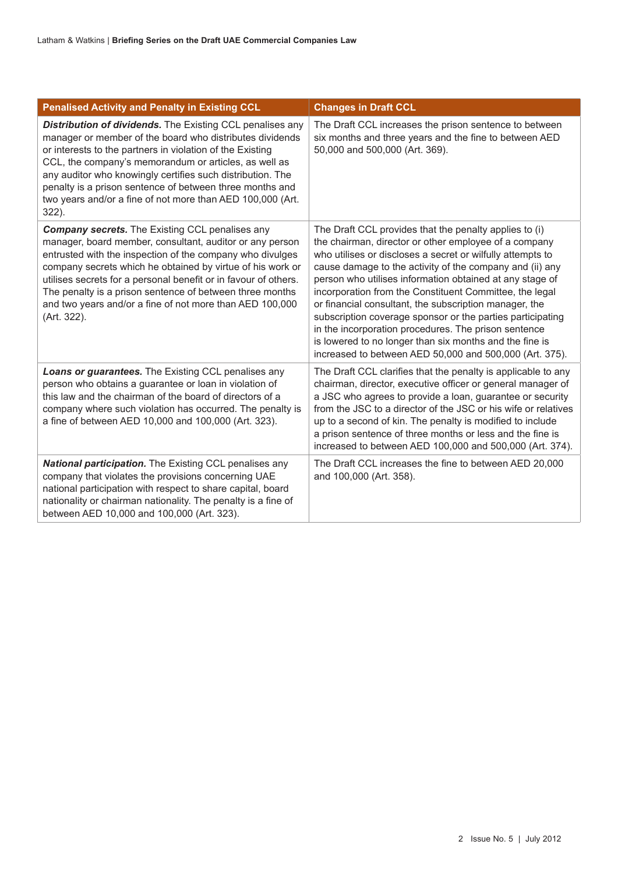| <b>Penalised Activity and Penalty in Existing CCL</b>                                                                                                                                                                                                                                                                                                                                                                                                   | <b>Changes in Draft CCL</b>                                                                                                                                                                                                                                                                                                                                                                                                                                                                                                                                                                                                                                            |
|---------------------------------------------------------------------------------------------------------------------------------------------------------------------------------------------------------------------------------------------------------------------------------------------------------------------------------------------------------------------------------------------------------------------------------------------------------|------------------------------------------------------------------------------------------------------------------------------------------------------------------------------------------------------------------------------------------------------------------------------------------------------------------------------------------------------------------------------------------------------------------------------------------------------------------------------------------------------------------------------------------------------------------------------------------------------------------------------------------------------------------------|
| Distribution of dividends. The Existing CCL penalises any<br>manager or member of the board who distributes dividends<br>or interests to the partners in violation of the Existing<br>CCL, the company's memorandum or articles, as well as<br>any auditor who knowingly certifies such distribution. The<br>penalty is a prison sentence of between three months and<br>two years and/or a fine of not more than AED 100,000 (Art.<br>$322$ ).         | The Draft CCL increases the prison sentence to between<br>six months and three years and the fine to between AED<br>50,000 and 500,000 (Art. 369).                                                                                                                                                                                                                                                                                                                                                                                                                                                                                                                     |
| <b>Company secrets.</b> The Existing CCL penalises any<br>manager, board member, consultant, auditor or any person<br>entrusted with the inspection of the company who divulges<br>company secrets which he obtained by virtue of his work or<br>utilises secrets for a personal benefit or in favour of others.<br>The penalty is a prison sentence of between three months<br>and two years and/or a fine of not more than AED 100,000<br>(Art. 322). | The Draft CCL provides that the penalty applies to (i)<br>the chairman, director or other employee of a company<br>who utilises or discloses a secret or wilfully attempts to<br>cause damage to the activity of the company and (ii) any<br>person who utilises information obtained at any stage of<br>incorporation from the Constituent Committee, the legal<br>or financial consultant, the subscription manager, the<br>subscription coverage sponsor or the parties participating<br>in the incorporation procedures. The prison sentence<br>is lowered to no longer than six months and the fine is<br>increased to between AED 50,000 and 500,000 (Art. 375). |
| Loans or guarantees. The Existing CCL penalises any<br>person who obtains a guarantee or loan in violation of<br>this law and the chairman of the board of directors of a<br>company where such violation has occurred. The penalty is<br>a fine of between AED 10,000 and 100,000 (Art. 323).                                                                                                                                                          | The Draft CCL clarifies that the penalty is applicable to any<br>chairman, director, executive officer or general manager of<br>a JSC who agrees to provide a loan, guarantee or security<br>from the JSC to a director of the JSC or his wife or relatives<br>up to a second of kin. The penalty is modified to include<br>a prison sentence of three months or less and the fine is<br>increased to between AED 100,000 and 500,000 (Art. 374).                                                                                                                                                                                                                      |
| National participation. The Existing CCL penalises any<br>company that violates the provisions concerning UAE<br>national participation with respect to share capital, board<br>nationality or chairman nationality. The penalty is a fine of<br>between AED 10,000 and 100,000 (Art. 323).                                                                                                                                                             | The Draft CCL increases the fine to between AED 20,000<br>and 100,000 (Art. 358).                                                                                                                                                                                                                                                                                                                                                                                                                                                                                                                                                                                      |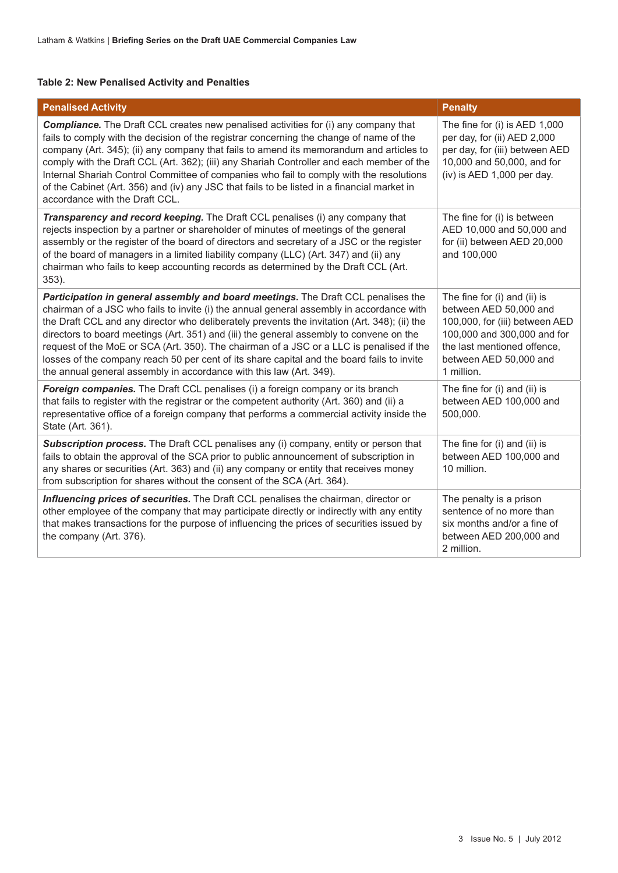#### **Table 2: New Penalised Activity and Penalties**

| <b>Penalised Activity</b>                                                                                                                                                                                                                                                                                                                                                                                                                                                                                                                                                                                                                 | <b>Penalty</b>                                                                                                                                                                                 |
|-------------------------------------------------------------------------------------------------------------------------------------------------------------------------------------------------------------------------------------------------------------------------------------------------------------------------------------------------------------------------------------------------------------------------------------------------------------------------------------------------------------------------------------------------------------------------------------------------------------------------------------------|------------------------------------------------------------------------------------------------------------------------------------------------------------------------------------------------|
| <b>Compliance.</b> The Draft CCL creates new penalised activities for (i) any company that<br>fails to comply with the decision of the registrar concerning the change of name of the<br>company (Art. 345); (ii) any company that fails to amend its memorandum and articles to<br>comply with the Draft CCL (Art. 362); (iii) any Shariah Controller and each member of the<br>Internal Shariah Control Committee of companies who fail to comply with the resolutions<br>of the Cabinet (Art. 356) and (iv) any JSC that fails to be listed in a financial market in<br>accordance with the Draft CCL.                                 | The fine for (i) is AED 1,000<br>per day, for (ii) AED 2,000<br>per day, for (iii) between AED<br>10,000 and 50,000, and for<br>$(iv)$ is AED 1,000 per day.                                   |
| Transparency and record keeping. The Draft CCL penalises (i) any company that<br>rejects inspection by a partner or shareholder of minutes of meetings of the general<br>assembly or the register of the board of directors and secretary of a JSC or the register<br>of the board of managers in a limited liability company (LLC) (Art. 347) and (ii) any<br>chairman who fails to keep accounting records as determined by the Draft CCL (Art.<br>$353$ ).                                                                                                                                                                             | The fine for (i) is between<br>AED 10,000 and 50,000 and<br>for (ii) between AED 20,000<br>and 100,000                                                                                         |
| Participation in general assembly and board meetings. The Draft CCL penalises the<br>chairman of a JSC who fails to invite (i) the annual general assembly in accordance with<br>the Draft CCL and any director who deliberately prevents the invitation (Art. 348); (ii) the<br>directors to board meetings (Art. 351) and (iii) the general assembly to convene on the<br>request of the MoE or SCA (Art. 350). The chairman of a JSC or a LLC is penalised if the<br>losses of the company reach 50 per cent of its share capital and the board fails to invite<br>the annual general assembly in accordance with this law (Art. 349). | The fine for (i) and (ii) is<br>between AED 50,000 and<br>100,000, for (iii) between AED<br>100,000 and 300,000 and for<br>the last mentioned offence,<br>between AED 50,000 and<br>1 million. |
| <b>Foreign companies.</b> The Draft CCL penalises (i) a foreign company or its branch<br>that fails to register with the registrar or the competent authority (Art. 360) and (ii) a<br>representative office of a foreign company that performs a commercial activity inside the<br>State (Art. 361).                                                                                                                                                                                                                                                                                                                                     | The fine for (i) and (ii) is<br>between AED 100,000 and<br>500,000.                                                                                                                            |
| Subscription process. The Draft CCL penalises any (i) company, entity or person that<br>fails to obtain the approval of the SCA prior to public announcement of subscription in<br>any shares or securities (Art. 363) and (ii) any company or entity that receives money<br>from subscription for shares without the consent of the SCA (Art. 364).                                                                                                                                                                                                                                                                                      | The fine for (i) and (ii) is<br>between AED 100,000 and<br>10 million.                                                                                                                         |
| Influencing prices of securities. The Draft CCL penalises the chairman, director or<br>other employee of the company that may participate directly or indirectly with any entity<br>that makes transactions for the purpose of influencing the prices of securities issued by<br>the company (Art. 376).                                                                                                                                                                                                                                                                                                                                  | The penalty is a prison<br>sentence of no more than<br>six months and/or a fine of<br>between AED 200,000 and<br>2 million.                                                                    |